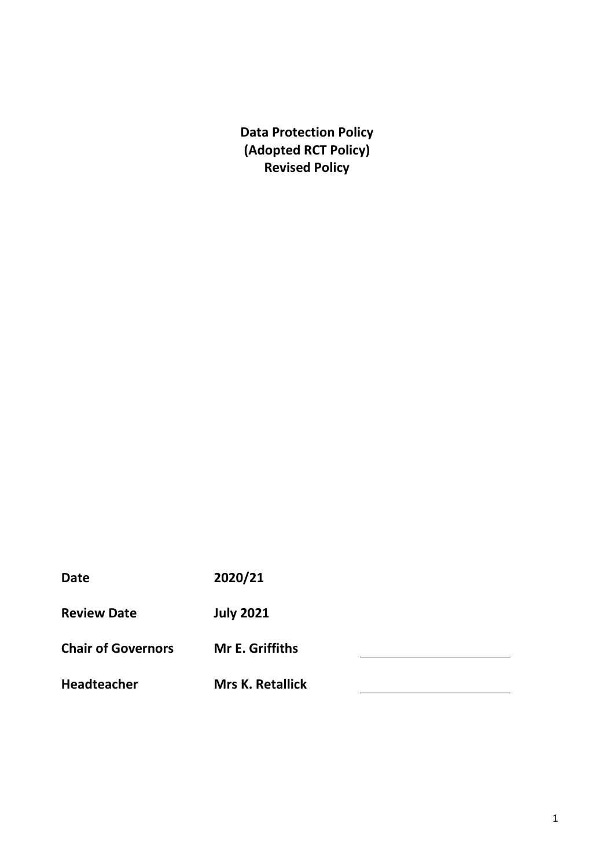**Data Protection Policy (Adopted RCT Policy) Revised Policy** 

| <b>Date</b>               | 2020/21                 |  |
|---------------------------|-------------------------|--|
| <b>Review Date</b>        | <b>July 2021</b>        |  |
| <b>Chair of Governors</b> | <b>Mr E. Griffiths</b>  |  |
| <b>Headteacher</b>        | <b>Mrs K. Retallick</b> |  |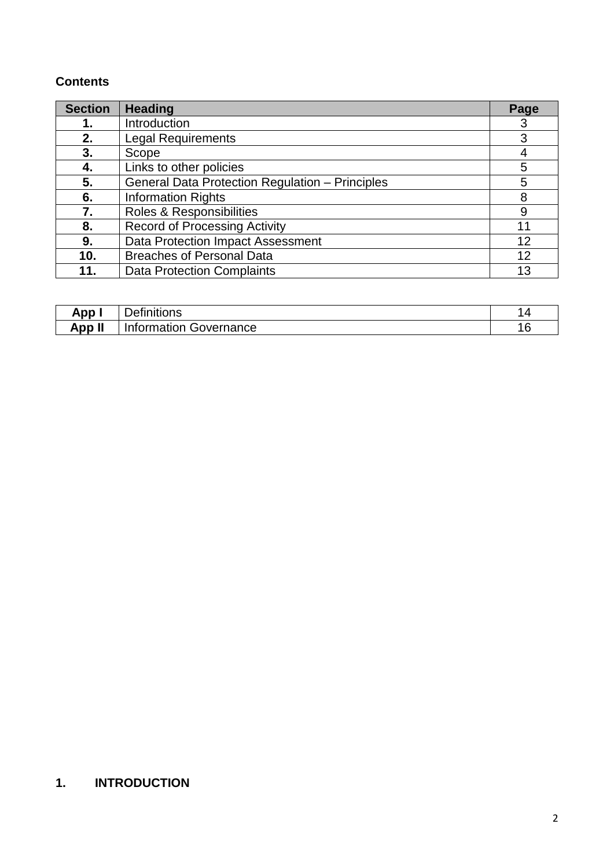# **Contents**

| <b>Section</b> | <b>Heading</b>                                         |    |
|----------------|--------------------------------------------------------|----|
| 1.             | Introduction                                           | 3  |
| 2.             | <b>Legal Requirements</b>                              |    |
| 3.             | Scope                                                  |    |
| 4.             | Links to other policies                                | 5  |
| 5.             | <b>General Data Protection Regulation - Principles</b> | 5  |
| 6.             | <b>Information Rights</b>                              | 8  |
| 7.             | Roles & Responsibilities                               | 9  |
| 8.             | <b>Record of Processing Activity</b>                   | 11 |
| 9.             | Data Protection Impact Assessment                      | 12 |
| 10.            | <b>Breaches of Personal Data</b>                       | 12 |
| 11.            | <b>Data Protection Complaints</b>                      | 13 |

| App.   | <br>.<br>-<br>efinitions<br>Jer  | _ |
|--------|----------------------------------|---|
| App II | Governance<br><b>Information</b> | u |

# **1. INTRODUCTION**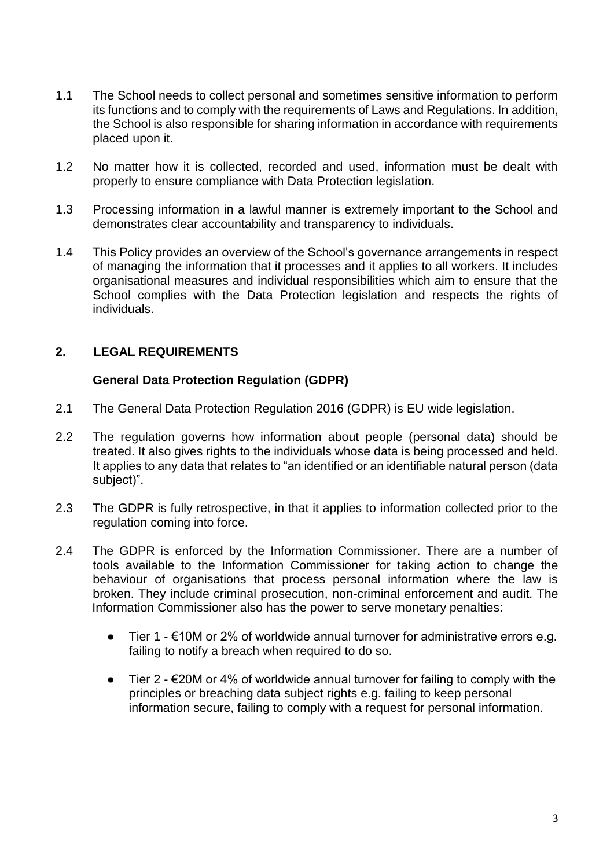- 1.1 The School needs to collect personal and sometimes sensitive information to perform its functions and to comply with the requirements of Laws and Regulations. In addition, the School is also responsible for sharing information in accordance with requirements placed upon it.
- 1.2 No matter how it is collected, recorded and used, information must be dealt with properly to ensure compliance with Data Protection legislation.
- 1.3 Processing information in a lawful manner is extremely important to the School and demonstrates clear accountability and transparency to individuals.
- 1.4 This Policy provides an overview of the School's governance arrangements in respect of managing the information that it processes and it applies to all workers. It includes organisational measures and individual responsibilities which aim to ensure that the School complies with the Data Protection legislation and respects the rights of individuals.

## **2. LEGAL REQUIREMENTS**

#### **General Data Protection Regulation (GDPR)**

- 2.1 The General Data Protection Regulation 2016 (GDPR) is EU wide legislation.
- 2.2 The regulation governs how information about people (personal data) should be treated. It also gives rights to the individuals whose data is being processed and held. It applies to any data that relates to "an identified or an identifiable natural person (data subject)".
- 2.3 The GDPR is fully retrospective, in that it applies to information collected prior to the regulation coming into force.
- 2.4 The GDPR is enforced by the Information Commissioner. There are a number of tools available to the Information Commissioner for taking action to change the behaviour of organisations that process personal information where the law is broken. They include criminal prosecution, non-criminal enforcement and audit. The Information Commissioner also has the power to serve monetary penalties:
	- $\bullet$  Tier 1 €10M or 2% of worldwide annual turnover for administrative errors e.g. failing to notify a breach when required to do so.
	- $\bullet$  Tier 2  $\epsilon$ 20M or 4% of worldwide annual turnover for failing to comply with the principles or breaching data subject rights e.g. failing to keep personal information secure, failing to comply with a request for personal information.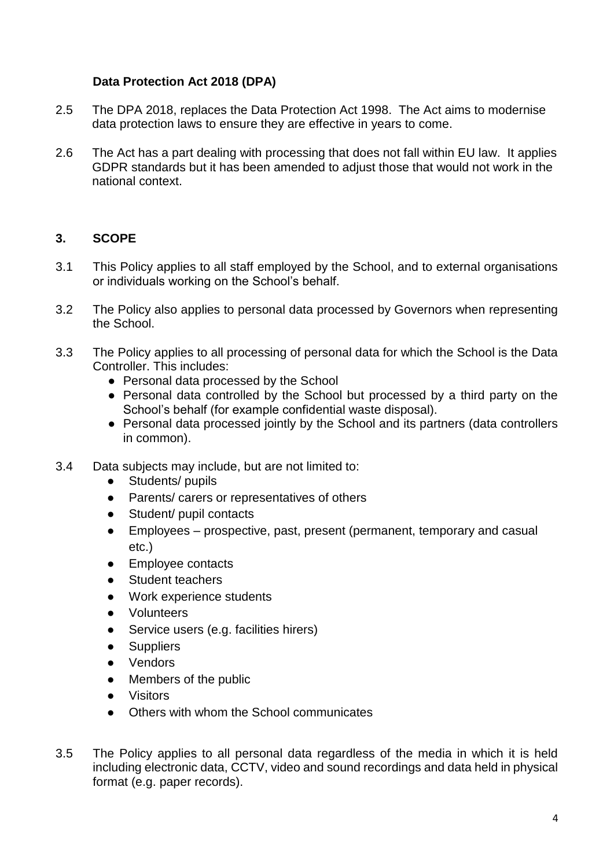## **Data Protection Act 2018 (DPA)**

- 2.5 The DPA 2018, replaces the Data Protection Act 1998. The Act aims to modernise data protection laws to ensure they are effective in years to come.
- 2.6 The Act has a part dealing with processing that does not fall within EU law. It applies GDPR standards but it has been amended to adjust those that would not work in the national context.

# **3. SCOPE**

- 3.1 This Policy applies to all staff employed by the School, and to external organisations or individuals working on the School's behalf.
- 3.2 The Policy also applies to personal data processed by Governors when representing the School.
- 3.3 The Policy applies to all processing of personal data for which the School is the Data Controller. This includes:
	- Personal data processed by the School
	- Personal data controlled by the School but processed by a third party on the School's behalf (for example confidential waste disposal).
	- Personal data processed jointly by the School and its partners (data controllers in common).
- 3.4 Data subjects may include, but are not limited to:
	- Students/ pupils
	- Parents/ carers or representatives of others
	- Student/ pupil contacts
	- Employees prospective, past, present (permanent, temporary and casual etc.)
	- Employee contacts
	- Student teachers
	- Work experience students
	- **Volunteers**
	- Service users (e.g. facilities hirers)
	- Suppliers
	- Vendors
	- Members of the public
	- Visitors
	- Others with whom the School communicates
- 3.5 The Policy applies to all personal data regardless of the media in which it is held including electronic data, CCTV, video and sound recordings and data held in physical format (e.g. paper records).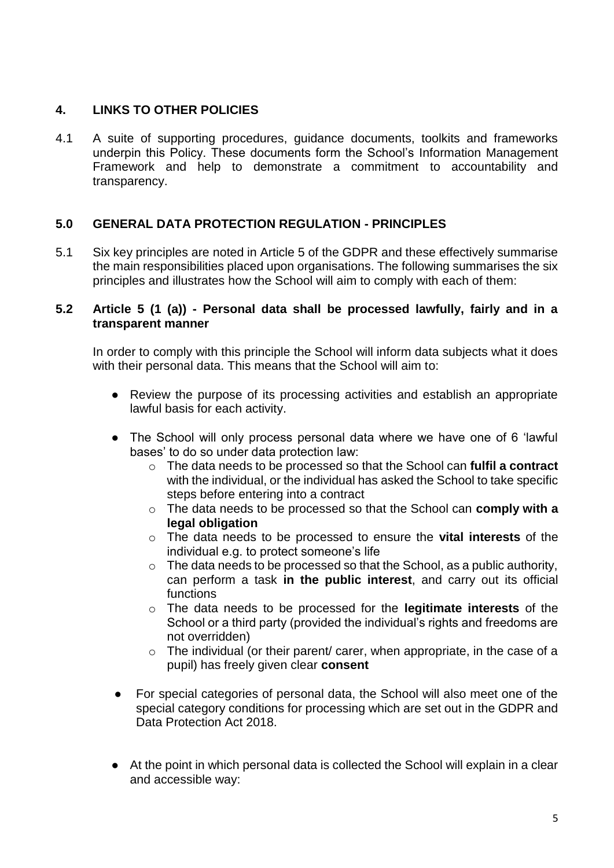## **4. LINKS TO OTHER POLICIES**

4.1 A suite of supporting procedures, guidance documents, toolkits and frameworks underpin this Policy. These documents form the School's Information Management Framework and help to demonstrate a commitment to accountability and transparency.

# **5.0 GENERAL DATA PROTECTION REGULATION - PRINCIPLES**

5.1 Six key principles are noted in Article 5 of the GDPR and these effectively summarise the main responsibilities placed upon organisations. The following summarises the six principles and illustrates how the School will aim to comply with each of them:

#### **5.2 Article 5 (1 (a)) - Personal data shall be processed lawfully, fairly and in a transparent manner**

In order to comply with this principle the School will inform data subjects what it does with their personal data. This means that the School will aim to:

- Review the purpose of its processing activities and establish an appropriate lawful basis for each activity.
- The School will only process personal data where we have one of 6 'lawful bases' to do so under data protection law:
	- o The data needs to be processed so that the School can **fulfil a contract** with the individual, or the individual has asked the School to take specific steps before entering into a contract
	- o The data needs to be processed so that the School can **comply with a legal obligation**
	- o The data needs to be processed to ensure the **vital interests** of the individual e.g. to protect someone's life
	- o The data needs to be processed so that the School, as a public authority, can perform a task **in the public interest**, and carry out its official functions
	- o The data needs to be processed for the **legitimate interests** of the School or a third party (provided the individual's rights and freedoms are not overridden)
	- $\circ$  The individual (or their parent/ carer, when appropriate, in the case of a pupil) has freely given clear **consent**
- For special categories of personal data, the School will also meet one of the special category conditions for processing which are set out in the GDPR and Data Protection Act 2018.
- At the point in which personal data is collected the School will explain in a clear and accessible way: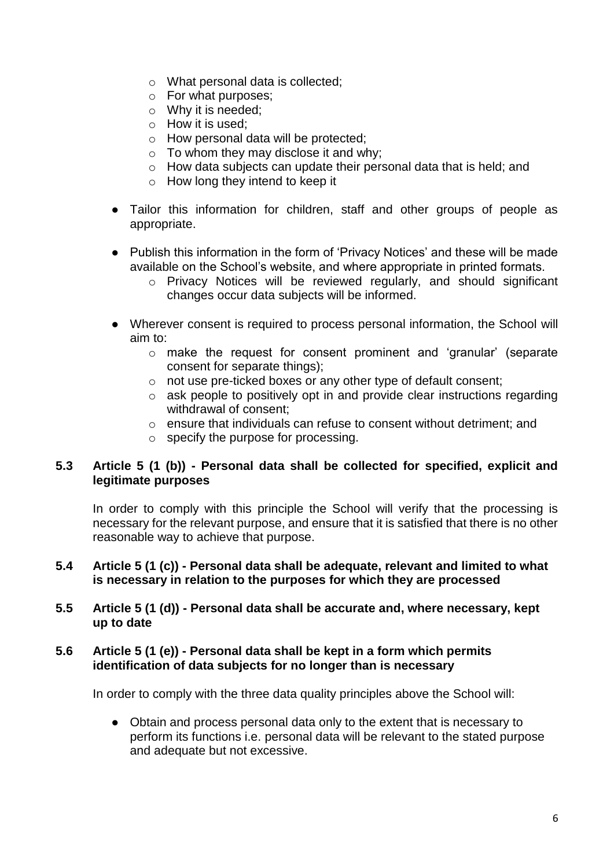- o What personal data is collected;
- o For what purposes;
- o Why it is needed;
- $\circ$  How it is used:
- o How personal data will be protected;
- o To whom they may disclose it and why;
- o How data subjects can update their personal data that is held; and
- o How long they intend to keep it
- Tailor this information for children, staff and other groups of people as appropriate.
- Publish this information in the form of 'Privacy Notices' and these will be made available on the School's website, and where appropriate in printed formats.
	- o Privacy Notices will be reviewed regularly, and should significant changes occur data subjects will be informed.
- Wherever consent is required to process personal information, the School will aim to:
	- o make the request for consent prominent and 'granular' (separate consent for separate things);
	- o not use pre-ticked boxes or any other type of default consent;
	- o ask people to positively opt in and provide clear instructions regarding withdrawal of consent;
	- o ensure that individuals can refuse to consent without detriment; and
	- o specify the purpose for processing.

#### **5.3 Article 5 (1 (b)) - Personal data shall be collected for specified, explicit and legitimate purposes**

In order to comply with this principle the School will verify that the processing is necessary for the relevant purpose, and ensure that it is satisfied that there is no other reasonable way to achieve that purpose.

#### **5.4 Article 5 (1 (c)) - Personal data shall be adequate, relevant and limited to what is necessary in relation to the purposes for which they are processed**

#### **5.5 Article 5 (1 (d)) - Personal data shall be accurate and, where necessary, kept up to date**

#### **5.6 Article 5 (1 (e)) - Personal data shall be kept in a form which permits identification of data subjects for no longer than is necessary**

In order to comply with the three data quality principles above the School will:

● Obtain and process personal data only to the extent that is necessary to perform its functions i.e. personal data will be relevant to the stated purpose and adequate but not excessive.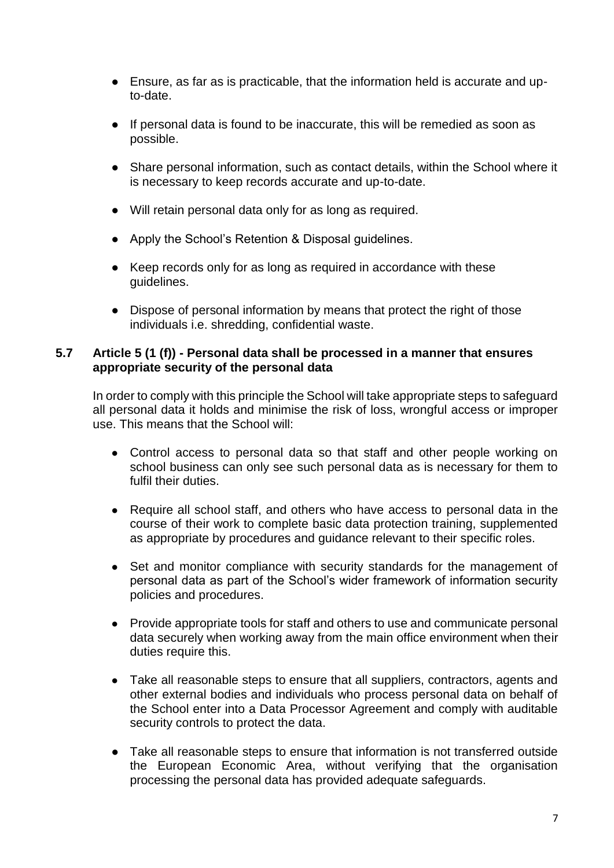- Ensure, as far as is practicable, that the information held is accurate and upto-date.
- If personal data is found to be inaccurate, this will be remedied as soon as possible.
- Share personal information, such as contact details, within the School where it is necessary to keep records accurate and up-to-date.
- Will retain personal data only for as long as required.
- Apply the School's Retention & Disposal guidelines.
- Keep records only for as long as required in accordance with these guidelines.
- Dispose of personal information by means that protect the right of those individuals i.e. shredding, confidential waste.

#### **5.7 Article 5 (1 (f)) - Personal data shall be processed in a manner that ensures appropriate security of the personal data**

In order to comply with this principle the School will take appropriate steps to safeguard all personal data it holds and minimise the risk of loss, wrongful access or improper use. This means that the School will:

- Control access to personal data so that staff and other people working on school business can only see such personal data as is necessary for them to fulfil their duties.
- Require all school staff, and others who have access to personal data in the course of their work to complete basic data protection training, supplemented as appropriate by procedures and guidance relevant to their specific roles.
- Set and monitor compliance with security standards for the management of personal data as part of the School's wider framework of information security policies and procedures.
- Provide appropriate tools for staff and others to use and communicate personal data securely when working away from the main office environment when their duties require this.
- Take all reasonable steps to ensure that all suppliers, contractors, agents and other external bodies and individuals who process personal data on behalf of the School enter into a Data Processor Agreement and comply with auditable security controls to protect the data.
- Take all reasonable steps to ensure that information is not transferred outside the European Economic Area, without verifying that the organisation processing the personal data has provided adequate safeguards.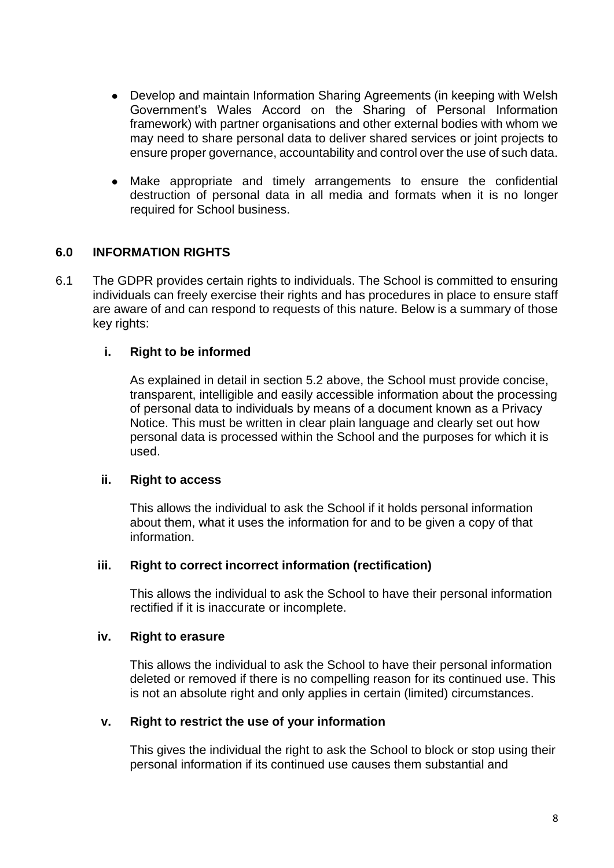- Develop and maintain Information Sharing Agreements (in keeping with Welsh Government's Wales Accord on the Sharing of Personal Information framework) with partner organisations and other external bodies with whom we may need to share personal data to deliver shared services or joint projects to ensure proper governance, accountability and control over the use of such data.
- Make appropriate and timely arrangements to ensure the confidential destruction of personal data in all media and formats when it is no longer required for School business.

#### **6.0 INFORMATION RIGHTS**

6.1 The GDPR provides certain rights to individuals. The School is committed to ensuring individuals can freely exercise their rights and has procedures in place to ensure staff are aware of and can respond to requests of this nature. Below is a summary of those key rights:

#### **i. Right to be informed**

As explained in detail in section 5.2 above, the School must provide concise, transparent, intelligible and easily accessible information about the processing of personal data to individuals by means of a document known as a Privacy Notice. This must be written in clear plain language and clearly set out how personal data is processed within the School and the purposes for which it is used.

#### **ii. Right to access**

This allows the individual to ask the School if it holds personal information about them, what it uses the information for and to be given a copy of that information.

#### **iii. Right to correct incorrect information (rectification)**

This allows the individual to ask the School to have their personal information rectified if it is inaccurate or incomplete.

#### **iv. Right to erasure**

This allows the individual to ask the School to have their personal information deleted or removed if there is no compelling reason for its continued use. This is not an absolute right and only applies in certain (limited) circumstances.

#### **v. Right to restrict the use of your information**

This gives the individual the right to ask the School to block or stop using their personal information if its continued use causes them substantial and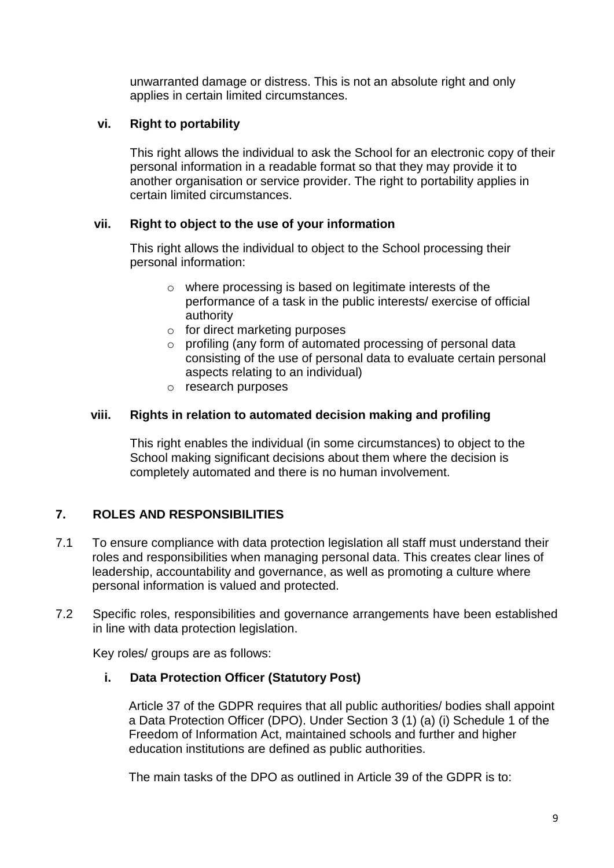unwarranted damage or distress. This is not an absolute right and only applies in certain limited circumstances.

## **vi. Right to portability**

This right allows the individual to ask the School for an electronic copy of their personal information in a readable format so that they may provide it to another organisation or service provider. The right to portability applies in certain limited circumstances.

# **vii. Right to object to the use of your information**

This right allows the individual to object to the School processing their personal information:

- o where processing is based on legitimate interests of the performance of a task in the public interests/ exercise of official authority
- o for direct marketing purposes
- o profiling (any form of automated processing of personal data consisting of the use of personal data to evaluate certain personal aspects relating to an individual)
- o research purposes

## **viii. Rights in relation to automated decision making and profiling**

This right enables the individual (in some circumstances) to object to the School making significant decisions about them where the decision is completely automated and there is no human involvement.

# **7. ROLES AND RESPONSIBILITIES**

- 7.1 To ensure compliance with data protection legislation all staff must understand their roles and responsibilities when managing personal data. This creates clear lines of leadership, accountability and governance, as well as promoting a culture where personal information is valued and protected.
- 7.2 Specific roles, responsibilities and governance arrangements have been established in line with data protection legislation.

Key roles/ groups are as follows:

## **i. Data Protection Officer (Statutory Post)**

Article 37 of the GDPR requires that all public authorities/ bodies shall appoint a Data Protection Officer (DPO). Under Section 3 (1) (a) (i) Schedule 1 of the Freedom of Information Act, maintained schools and further and higher education institutions are defined as public authorities.

The main tasks of the DPO as outlined in Article 39 of the GDPR is to: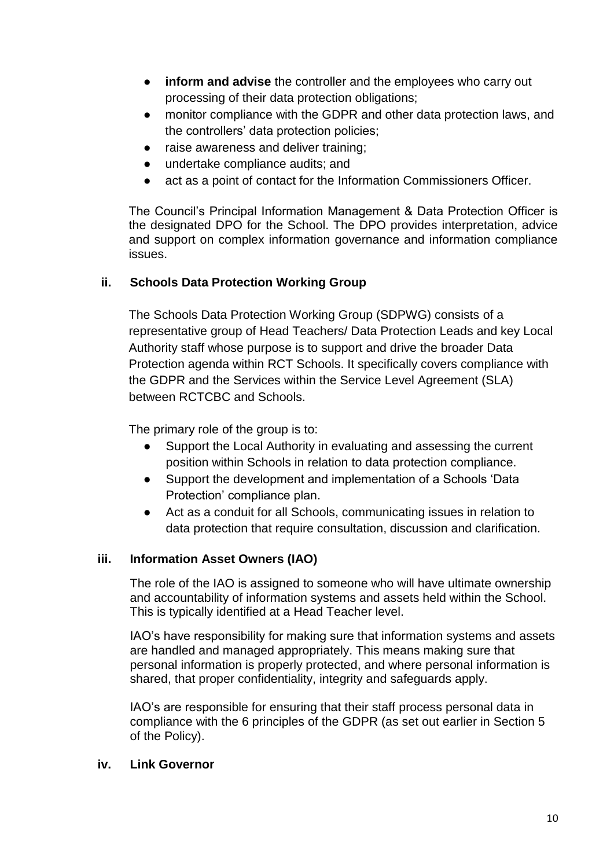- **inform and advise** the controller and the employees who carry out processing of their data protection obligations;
- monitor compliance with the GDPR and other data protection laws, and the controllers' data protection policies;
- raise awareness and deliver training;
- undertake compliance audits; and
- act as a point of contact for the Information Commissioners Officer.

The Council's Principal Information Management & Data Protection Officer is the designated DPO for the School. The DPO provides interpretation, advice and support on complex information governance and information compliance issues.

# **ii. Schools Data Protection Working Group**

The Schools Data Protection Working Group (SDPWG) consists of a representative group of Head Teachers/ Data Protection Leads and key Local Authority staff whose purpose is to support and drive the broader Data Protection agenda within RCT Schools. It specifically covers compliance with the GDPR and the Services within the Service Level Agreement (SLA) between RCTCBC and Schools.

The primary role of the group is to:

- Support the Local Authority in evaluating and assessing the current position within Schools in relation to data protection compliance.
- Support the development and implementation of a Schools 'Data Protection' compliance plan.
- Act as a conduit for all Schools, communicating issues in relation to data protection that require consultation, discussion and clarification.

## **iii. Information Asset Owners (IAO)**

The role of the IAO is assigned to someone who will have ultimate ownership and accountability of information systems and assets held within the School. This is typically identified at a Head Teacher level.

IAO's have responsibility for making sure that information systems and assets are handled and managed appropriately. This means making sure that personal information is properly protected, and where personal information is shared, that proper confidentiality, integrity and safeguards apply.

IAO's are responsible for ensuring that their staff process personal data in compliance with the 6 principles of the GDPR (as set out earlier in Section 5 of the Policy).

## **iv. Link Governor**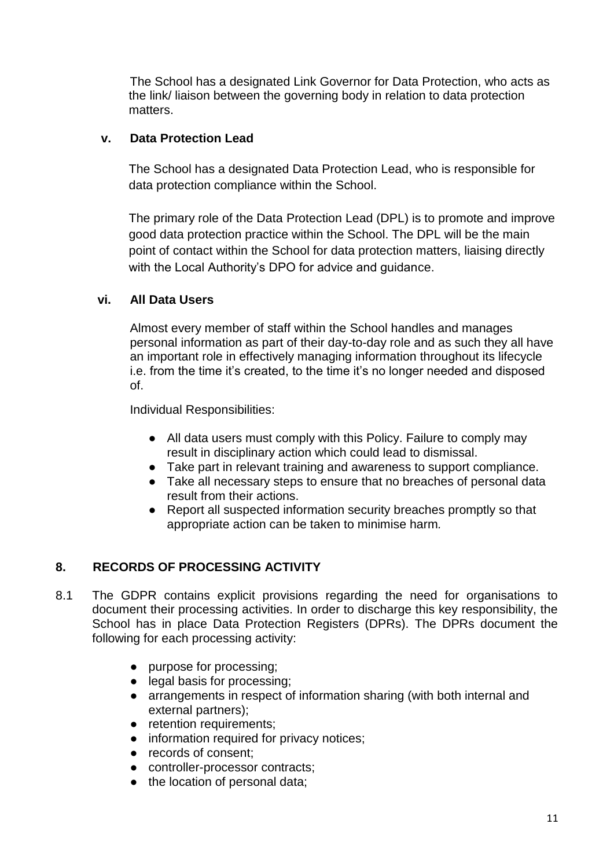The School has a designated Link Governor for Data Protection, who acts as the link/ liaison between the governing body in relation to data protection matters.

## **v. Data Protection Lead**

The School has a designated Data Protection Lead, who is responsible for data protection compliance within the School.

The primary role of the Data Protection Lead (DPL) is to promote and improve good data protection practice within the School. The DPL will be the main point of contact within the School for data protection matters, liaising directly with the Local Authority's DPO for advice and guidance.

# **vi. All Data Users**

Almost every member of staff within the School handles and manages personal information as part of their day-to-day role and as such they all have an important role in effectively managing information throughout its lifecycle i.e. from the time it's created, to the time it's no longer needed and disposed of.

Individual Responsibilities:

- All data users must comply with this Policy. Failure to comply may result in disciplinary action which could lead to dismissal.
- Take part in relevant training and awareness to support compliance.
- Take all necessary steps to ensure that no breaches of personal data result from their actions.
- Report all suspected information security breaches promptly so that appropriate action can be taken to minimise harm*.*

# **8. RECORDS OF PROCESSING ACTIVITY**

- 8.1 The GDPR contains explicit provisions regarding the need for organisations to document their processing activities. In order to discharge this key responsibility, the School has in place Data Protection Registers (DPRs). The DPRs document the following for each processing activity:
	- purpose for processing;
	- legal basis for processing;
	- arrangements in respect of information sharing (with both internal and external partners);
	- retention requirements;
	- information required for privacy notices;
	- records of consent;
	- controller-processor contracts:
	- the location of personal data;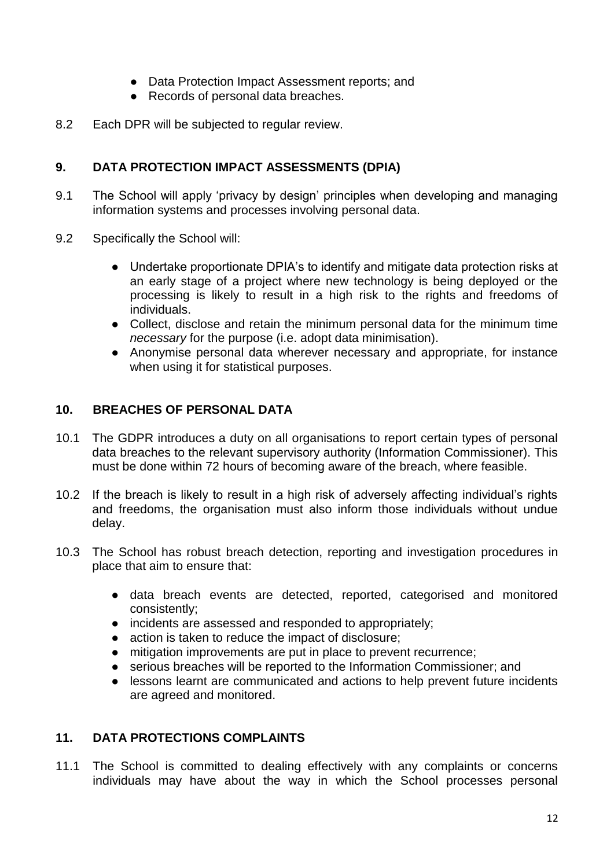- Data Protection Impact Assessment reports; and
- Records of personal data breaches.
- 8.2 Each DPR will be subjected to regular review.

# **9. DATA PROTECTION IMPACT ASSESSMENTS (DPIA)**

- 9.1 The School will apply 'privacy by design' principles when developing and managing information systems and processes involving personal data.
- 9.2 Specifically the School will:
	- Undertake proportionate DPIA's to identify and mitigate data protection risks at an early stage of a project where new technology is being deployed or the processing is likely to result in a high risk to the rights and freedoms of individuals.
	- Collect, disclose and retain the minimum personal data for the minimum time *necessary* for the purpose (i.e. adopt data minimisation).
	- Anonymise personal data wherever necessary and appropriate, for instance when using it for statistical purposes.

## **10. BREACHES OF PERSONAL DATA**

- 10.1 The GDPR introduces a duty on all organisations to report certain types of personal data breaches to the relevant supervisory authority (Information Commissioner). This must be done within 72 hours of becoming aware of the breach, where feasible.
- 10.2 If the breach is likely to result in a high risk of adversely affecting individual's rights and freedoms, the organisation must also inform those individuals without undue delay.
- 10.3 The School has robust breach detection, reporting and investigation procedures in place that aim to ensure that:
	- data breach events are detected, reported, categorised and monitored consistently;
	- incidents are assessed and responded to appropriately;
	- action is taken to reduce the impact of disclosure;
	- mitigation improvements are put in place to prevent recurrence;
	- serious breaches will be reported to the Information Commissioner; and
	- lessons learnt are communicated and actions to help prevent future incidents are agreed and monitored.

## **11. DATA PROTECTIONS COMPLAINTS**

11.1 The School is committed to dealing effectively with any complaints or concerns individuals may have about the way in which the School processes personal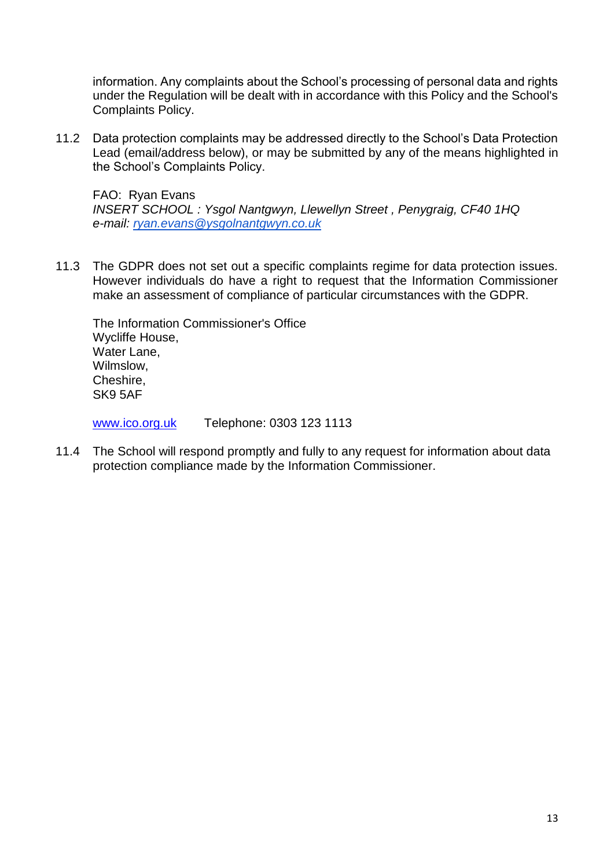information. Any complaints about the School's processing of personal data and rights under the Regulation will be dealt with in accordance with this Policy and the School's Complaints Policy.

11.2 Data protection complaints may be addressed directly to the School's Data Protection Lead (email/address below), or may be submitted by any of the means highlighted in the School's Complaints Policy.

FAO: Ryan Evans *INSERT SCHOOL : Ysgol Nantgwyn, Llewellyn Street , Penygraig, CF40 1HQ e-mail: [ryan.evans@ysgolnantgwyn.co.uk](mailto:ryna.evans@ysgolnantgwyn.co.uk)*

11.3 The GDPR does not set out a specific complaints regime for data protection issues. However individuals do have a right to request that the Information Commissioner make an assessment of compliance of particular circumstances with the GDPR.

The Information Commissioner's Office Wycliffe House, Water Lane, Wilmslow, Cheshire, SK9 5AF

[www.ico.org.uk](http://www.ico.org.uk/) Telephone: 0303 123 1113

11.4 The School will respond promptly and fully to any request for information about data protection compliance made by the Information Commissioner.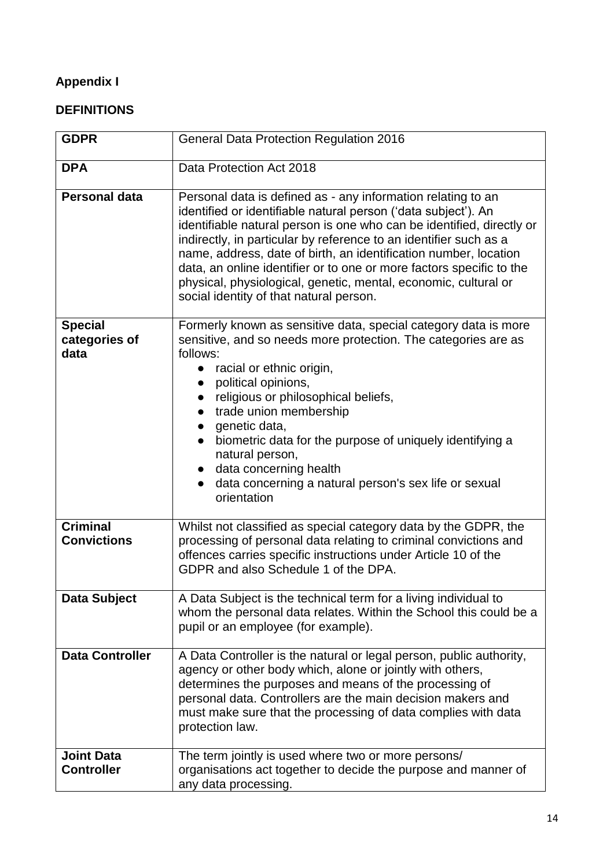# **Appendix I**

# **DEFINITIONS**

| <b>GDPR</b>                             | General Data Protection Regulation 2016                                                                                                                                                                                                                                                                                                                                                                                                                                                                                                |
|-----------------------------------------|----------------------------------------------------------------------------------------------------------------------------------------------------------------------------------------------------------------------------------------------------------------------------------------------------------------------------------------------------------------------------------------------------------------------------------------------------------------------------------------------------------------------------------------|
| <b>DPA</b>                              | Data Protection Act 2018                                                                                                                                                                                                                                                                                                                                                                                                                                                                                                               |
| <b>Personal data</b>                    | Personal data is defined as - any information relating to an<br>identified or identifiable natural person ('data subject'). An<br>identifiable natural person is one who can be identified, directly or<br>indirectly, in particular by reference to an identifier such as a<br>name, address, date of birth, an identification number, location<br>data, an online identifier or to one or more factors specific to the<br>physical, physiological, genetic, mental, economic, cultural or<br>social identity of that natural person. |
| <b>Special</b><br>categories of<br>data | Formerly known as sensitive data, special category data is more<br>sensitive, and so needs more protection. The categories are as<br>follows:<br>racial or ethnic origin,<br>$\bullet$<br>political opinions,<br>$\bullet$<br>religious or philosophical beliefs,<br>trade union membership<br>$\bullet$<br>genetic data,<br>$\bullet$<br>biometric data for the purpose of uniquely identifying a<br>natural person,<br>data concerning health<br>data concerning a natural person's sex life or sexual<br>orientation                |
| <b>Criminal</b><br><b>Convictions</b>   | Whilst not classified as special category data by the GDPR, the<br>processing of personal data relating to criminal convictions and<br>offences carries specific instructions under Article 10 of the<br>GDPR and also Schedule 1 of the DPA.                                                                                                                                                                                                                                                                                          |
| Data Subject                            | A Data Subject is the technical term for a living individual to<br>whom the personal data relates. Within the School this could be a<br>pupil or an employee (for example).                                                                                                                                                                                                                                                                                                                                                            |
| <b>Data Controller</b>                  | A Data Controller is the natural or legal person, public authority,<br>agency or other body which, alone or jointly with others,<br>determines the purposes and means of the processing of<br>personal data. Controllers are the main decision makers and<br>must make sure that the processing of data complies with data<br>protection law.                                                                                                                                                                                          |
| <b>Joint Data</b><br><b>Controller</b>  | The term jointly is used where two or more persons/<br>organisations act together to decide the purpose and manner of<br>any data processing.                                                                                                                                                                                                                                                                                                                                                                                          |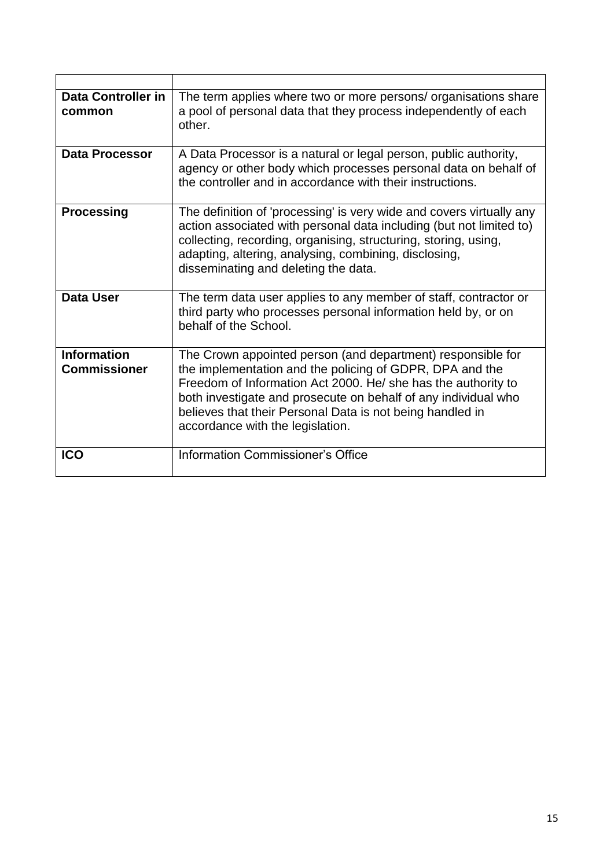| <b>Data Controller in</b><br>common       | The term applies where two or more persons/ organisations share<br>a pool of personal data that they process independently of each<br>other.                                                                                                                                                                                                                |
|-------------------------------------------|-------------------------------------------------------------------------------------------------------------------------------------------------------------------------------------------------------------------------------------------------------------------------------------------------------------------------------------------------------------|
| <b>Data Processor</b>                     | A Data Processor is a natural or legal person, public authority,<br>agency or other body which processes personal data on behalf of<br>the controller and in accordance with their instructions.                                                                                                                                                            |
| <b>Processing</b>                         | The definition of 'processing' is very wide and covers virtually any<br>action associated with personal data including (but not limited to)<br>collecting, recording, organising, structuring, storing, using,<br>adapting, altering, analysing, combining, disclosing,<br>disseminating and deleting the data.                                             |
| <b>Data User</b>                          | The term data user applies to any member of staff, contractor or<br>third party who processes personal information held by, or on<br>behalf of the School.                                                                                                                                                                                                  |
| <b>Information</b><br><b>Commissioner</b> | The Crown appointed person (and department) responsible for<br>the implementation and the policing of GDPR, DPA and the<br>Freedom of Information Act 2000. He/ she has the authority to<br>both investigate and prosecute on behalf of any individual who<br>believes that their Personal Data is not being handled in<br>accordance with the legislation. |
| <b>ICO</b>                                | <b>Information Commissioner's Office</b>                                                                                                                                                                                                                                                                                                                    |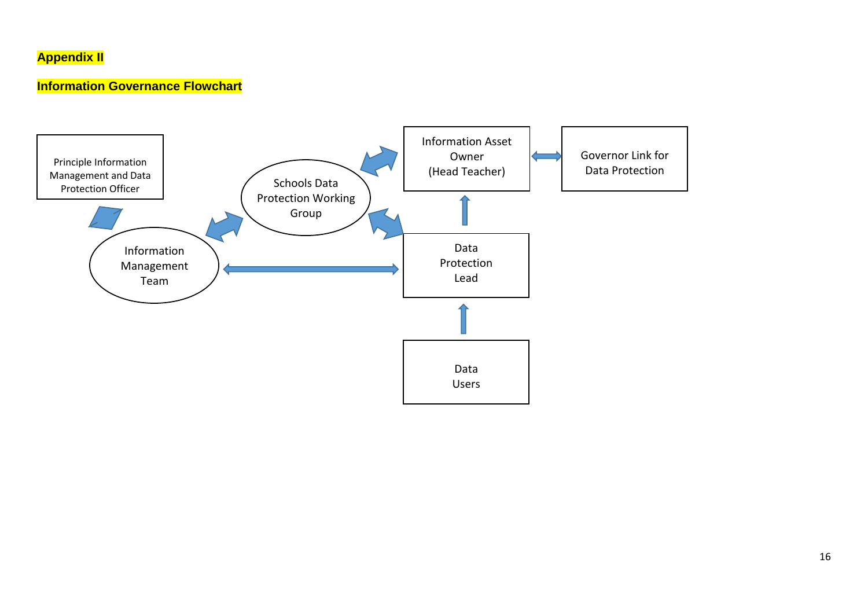# **Appendix II**

# **Information Governance Flowchart**